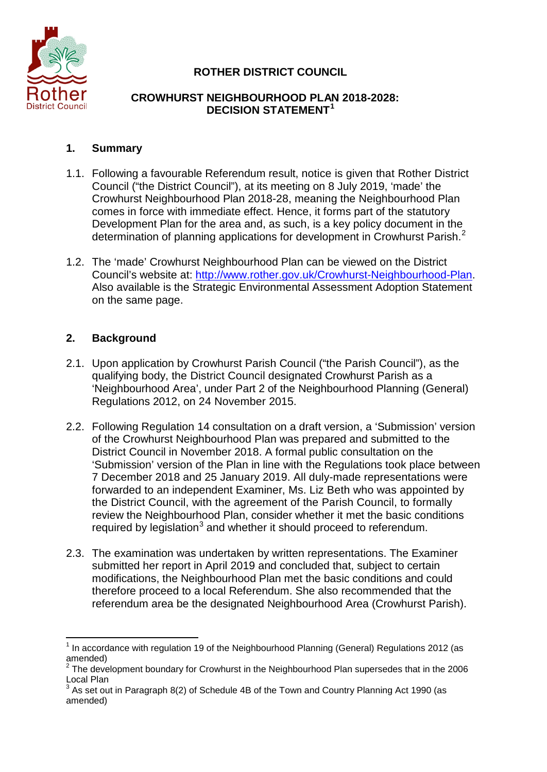

# **ROTHER DISTRICT COUNCIL**

#### **CROWHURST NEIGHBOURHOOD PLAN 2018-2028: DECISION STATEMENT[1](#page-0-0)**

## **1. Summary**

- 1.1. Following a favourable Referendum result, notice is given that Rother District Council ("the District Council"), at its meeting on 8 July 2019, 'made' the Crowhurst Neighbourhood Plan 2018-28, meaning the Neighbourhood Plan comes in force with immediate effect. Hence, it forms part of the statutory Development Plan for the area and, as such, is a key policy document in the determination of planning applications for development in Crowhurst Parish.<sup>[2](#page-0-1)</sup>
- 1.2. The 'made' Crowhurst Neighbourhood Plan can be viewed on the District Council's website at: [http://www.rother.gov.uk/Crowhurst-Neighbourhood-Plan.](http://www.rother.gov.uk/Crowhurst-Neighbourhood-Plan) Also available is the Strategic Environmental Assessment Adoption Statement on the same page.

# **2. Background**

- 2.1. Upon application by Crowhurst Parish Council ("the Parish Council"), as the qualifying body, the District Council designated Crowhurst Parish as a 'Neighbourhood Area', under Part 2 of the Neighbourhood Planning (General) Regulations 2012, on 24 November 2015.
- 2.2. Following Regulation 14 consultation on a draft version, a 'Submission' version of the Crowhurst Neighbourhood Plan was prepared and submitted to the District Council in November 2018. A formal public consultation on the 'Submission' version of the Plan in line with the Regulations took place between 7 December 2018 and 25 January 2019. All duly-made representations were forwarded to an independent Examiner, Ms. Liz Beth who was appointed by the District Council, with the agreement of the Parish Council, to formally review the Neighbourhood Plan, consider whether it met the basic conditions required by legislation<sup>[3](#page-0-2)</sup> and whether it should proceed to referendum.
- 2.3. The examination was undertaken by written representations. The Examiner submitted her report in April 2019 and concluded that, subject to certain modifications, the Neighbourhood Plan met the basic conditions and could therefore proceed to a local Referendum. She also recommended that the referendum area be the designated Neighbourhood Area (Crowhurst Parish).

<span id="page-0-0"></span> $<sup>1</sup>$  In accordance with regulation 19 of the Neighbourhood Planning (General) Regulations 2012 (as</sup>  $\frac{20000}{2}$ 

<span id="page-0-1"></span><sup>2</sup> The development boundary for Crowhurst in the Neighbourhood Plan supersedes that in the 2006 Local Plan

<span id="page-0-2"></span> $3$  As set out in Paragraph 8(2) of Schedule 4B of the Town and Country Planning Act 1990 (as amended)